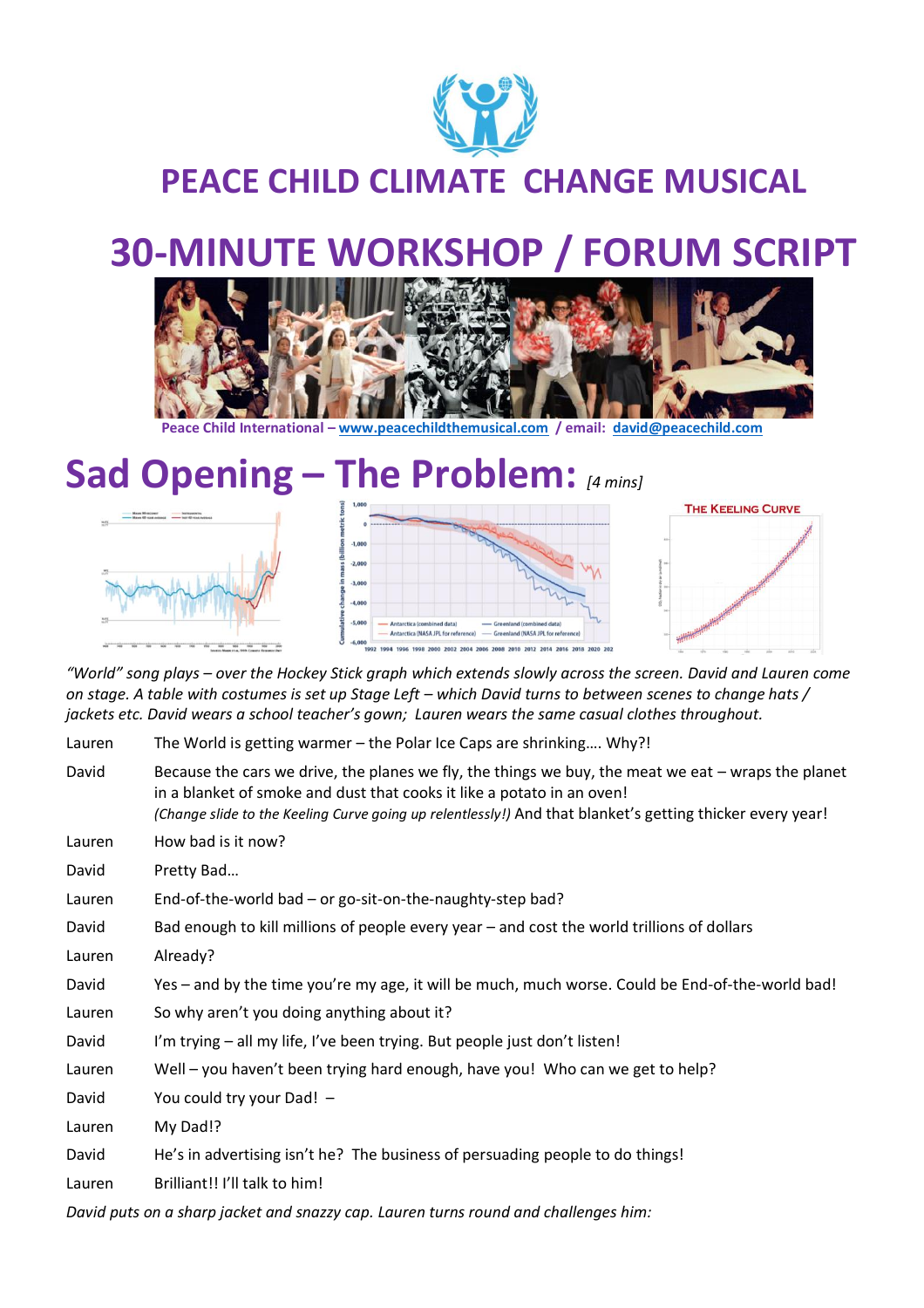

#### **PEACE CHILD CLIMATE CHANGE MUSICAL**

# **30-MINUTE WORKSHOP / FORUM SCRIPT**



**Peace Child International – [www.peacechildthemusical.com](http://www.peacechildthemusical.com/) / email: [david@peacechild.com](mailto:david@peacechild.com)**

## **Sad Opening – The Problem:** *[4 mins]*





*"World" song plays – over the Hockey Stick graph which extends slowly across the screen. David and Lauren come on stage. A table with costumes is set up Stage Left – which David turns to between scenes to change hats / jackets etc. David wears a school teacher's gown; Lauren wears the same casual clothes throughout.* 

| Lauren | The World is getting warmer - the Polar Ice Caps are shrinking Why?! |  |  |
|--------|----------------------------------------------------------------------|--|--|
|--------|----------------------------------------------------------------------|--|--|

- David Because the cars we drive, the planes we fly, the things we buy, the meat we eat wraps the planet in a blanket of smoke and dust that cooks it like a potato in an oven! *(Change slide to the Keeling Curve going up relentlessly!)* And that blanket's getting thicker every year! Lauren How bad is it now?
- David Pretty Bad...
- Lauren End-of-the-world bad or go-sit-on-the-naughty-step bad?
- David Bad enough to kill millions of people every year and cost the world trillions of dollars
- Lauren Already?
- David Yes and by the time you're my age, it will be much, much worse. Could be End-of-the-world bad!
- Lauren So why aren't you doing anything about it?
- David I'm trying all my life, I've been trying. But people just don't listen!
- Lauren Well you haven't been trying hard enough, have you! Who can we get to help?
- David You could try your Dad! –
- Lauren My Dad!?
- David He's in advertising isn't he? The business of persuading people to do things!
- Lauren Brilliant!! I'll talk to him!

*David puts on a sharp jacket and snazzy cap. Lauren turns round and challenges him:*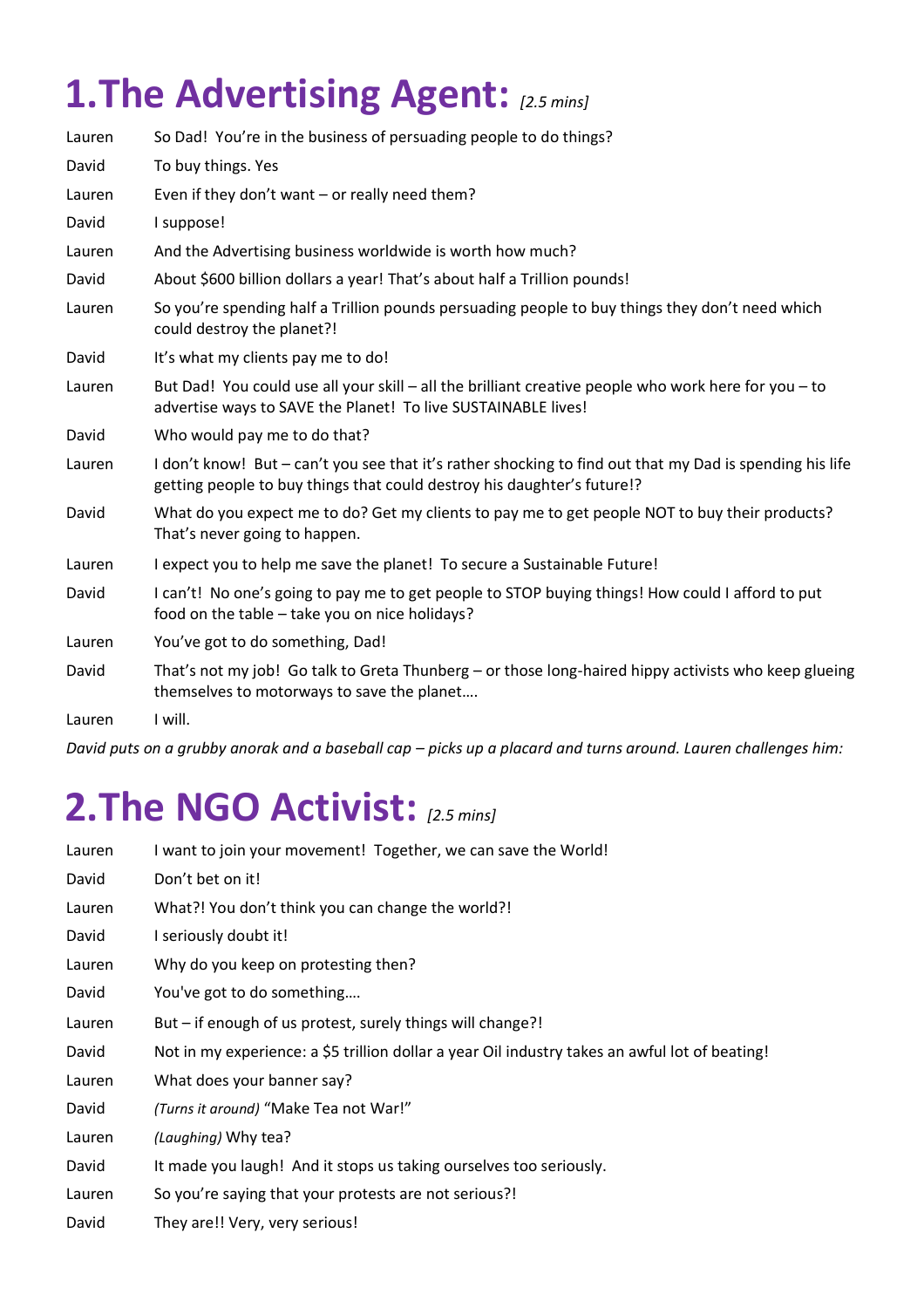# **1.The Advertising Agent:** *[2.5 mins]*

| Lauren            | So Dad! You're in the business of persuading people to do things?                                                                                                                   |
|-------------------|-------------------------------------------------------------------------------------------------------------------------------------------------------------------------------------|
| David             | To buy things. Yes                                                                                                                                                                  |
| Lauren            | Even if they don't want - or really need them?                                                                                                                                      |
| David             | I suppose!                                                                                                                                                                          |
| Lauren            | And the Advertising business worldwide is worth how much?                                                                                                                           |
| David             | About \$600 billion dollars a year! That's about half a Trillion pounds!                                                                                                            |
| Lauren            | So you're spending half a Trillion pounds persuading people to buy things they don't need which<br>could destroy the planet?!                                                       |
| David             | It's what my clients pay me to do!                                                                                                                                                  |
| Lauren            | But Dad! You could use all your skill – all the brilliant creative people who work here for you – to<br>advertise ways to SAVE the Planet! To live SUSTAINABLE lives!               |
| David             | Who would pay me to do that?                                                                                                                                                        |
| Lauren            | I don't know! But – can't you see that it's rather shocking to find out that my Dad is spending his life<br>getting people to buy things that could destroy his daughter's future!? |
| David             | What do you expect me to do? Get my clients to pay me to get people NOT to buy their products?<br>That's never going to happen.                                                     |
| Lauren            | I expect you to help me save the planet! To secure a Sustainable Future!                                                                                                            |
| David             | I can't! No one's going to pay me to get people to STOP buying things! How could I afford to put<br>food on the table – take you on nice holidays?                                  |
| Lauren            | You've got to do something, Dad!                                                                                                                                                    |
| David             | That's not my job! Go talk to Greta Thunberg – or those long-haired hippy activists who keep glueing<br>themselves to motorways to save the planet                                  |
| $l$ $\sim$ $\sim$ | النبيدا                                                                                                                                                                             |

Lauren I will.

*David puts on a grubby anorak and a baseball cap – picks up a placard and turns around. Lauren challenges him:*

# **2.The NGO Activist:** *[2.5 mins]*

| Lauren | I want to join your movement! Together, we can save the World!                                 |
|--------|------------------------------------------------------------------------------------------------|
| David  | Don't bet on it!                                                                               |
| Lauren | What?! You don't think you can change the world?!                                              |
| David  | I seriously doubt it!                                                                          |
| Lauren | Why do you keep on protesting then?                                                            |
| David  | You've got to do something                                                                     |
| Lauren | But – if enough of us protest, surely things will change?!                                     |
| David  | Not in my experience: a \$5 trillion dollar a year Oil industry takes an awful lot of beating! |
| Lauren | What does your banner say?                                                                     |
| David  | (Turns it around) "Make Tea not War!"                                                          |
| Lauren | (Laughing) Why tea?                                                                            |
| David  | It made you laugh! And it stops us taking ourselves too seriously.                             |
| Lauren | So you're saying that your protests are not serious?!                                          |
| David  | They are!! Very, very serious!                                                                 |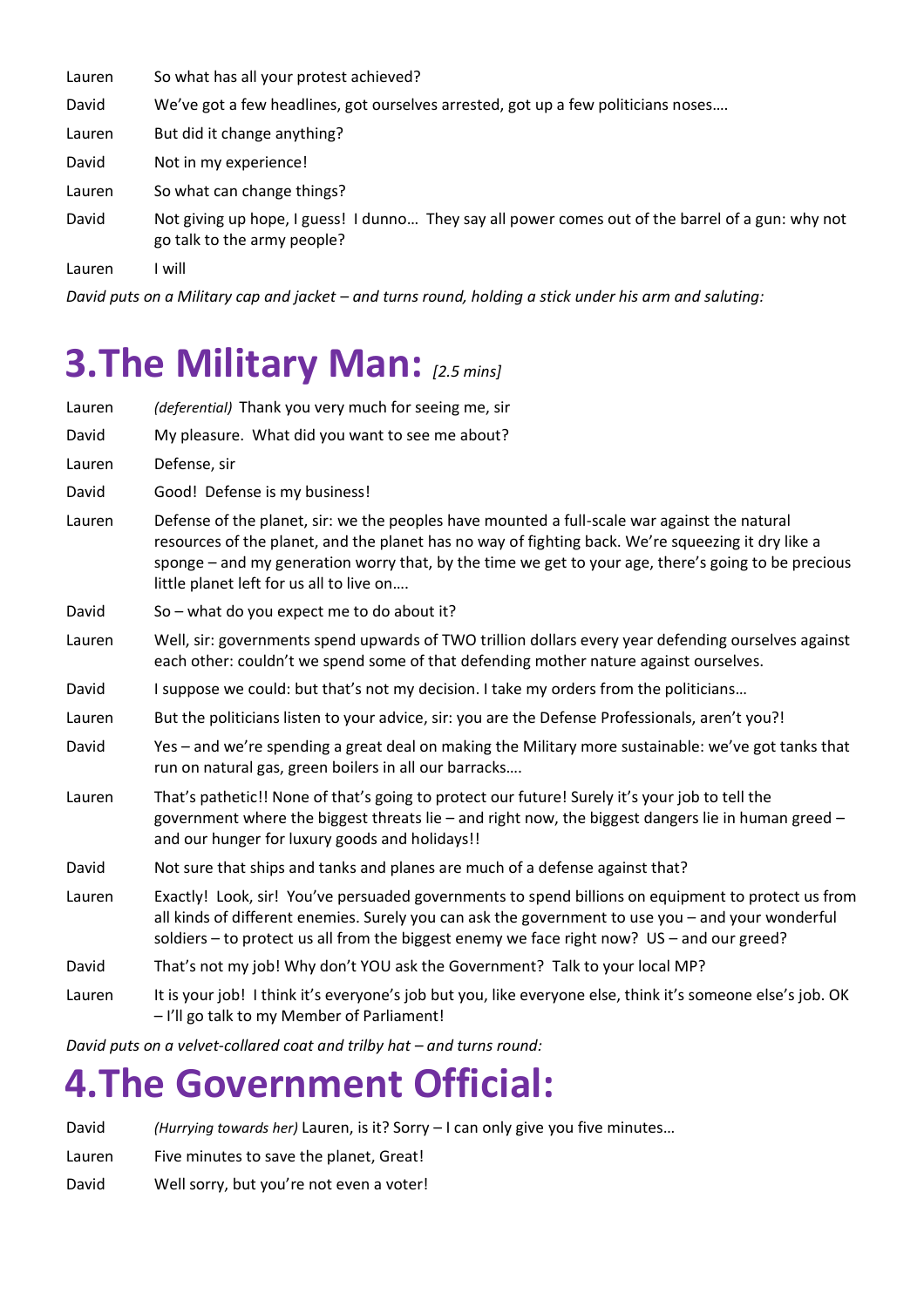| So what has all your protest achieved?<br>Lauren |  |
|--------------------------------------------------|--|
|--------------------------------------------------|--|

David We've got a few headlines, got ourselves arrested, got up a few politicians noses….

Lauren But did it change anything?

David Not in my experience!

Lauren So what can change things?

David Not giving up hope, I guess! I dunno… They say all power comes out of the barrel of a gun: why not go talk to the army people?

Lauren I will

*David puts on a Military cap and jacket – and turns round, holding a stick under his arm and saluting:* 

# **3.The Military Man:** *[2.5 mins]*

| Lauren | (deferential) Thank you very much for seeing me, sir                                                                                                                                                                                                                                                                                                  |
|--------|-------------------------------------------------------------------------------------------------------------------------------------------------------------------------------------------------------------------------------------------------------------------------------------------------------------------------------------------------------|
| David  | My pleasure. What did you want to see me about?                                                                                                                                                                                                                                                                                                       |
| Lauren | Defense, sir                                                                                                                                                                                                                                                                                                                                          |
| David  | Good! Defense is my business!                                                                                                                                                                                                                                                                                                                         |
| Lauren | Defense of the planet, sir: we the peoples have mounted a full-scale war against the natural<br>resources of the planet, and the planet has no way of fighting back. We're squeezing it dry like a<br>sponge – and my generation worry that, by the time we get to your age, there's going to be precious<br>little planet left for us all to live on |
| David  | So - what do you expect me to do about it?                                                                                                                                                                                                                                                                                                            |
| Lauren | Well, sir: governments spend upwards of TWO trillion dollars every year defending ourselves against<br>each other: couldn't we spend some of that defending mother nature against ourselves.                                                                                                                                                          |
| David  | I suppose we could: but that's not my decision. I take my orders from the politicians                                                                                                                                                                                                                                                                 |
| Lauren | But the politicians listen to your advice, sir: you are the Defense Professionals, aren't you?!                                                                                                                                                                                                                                                       |
| David  | Yes - and we're spending a great deal on making the Military more sustainable: we've got tanks that<br>run on natural gas, green boilers in all our barracks                                                                                                                                                                                          |
| Lauren | That's pathetic!! None of that's going to protect our future! Surely it's your job to tell the<br>government where the biggest threats lie $-$ and right now, the biggest dangers lie in human greed $-$<br>and our hunger for luxury goods and holidays!!                                                                                            |
| David  | Not sure that ships and tanks and planes are much of a defense against that?                                                                                                                                                                                                                                                                          |
| Lauren | Exactly! Look, sir! You've persuaded governments to spend billions on equipment to protect us from<br>all kinds of different enemies. Surely you can ask the government to use you - and your wonderful<br>soldiers - to protect us all from the biggest enemy we face right now? US - and our greed?                                                 |
| David  | That's not my job! Why don't YOU ask the Government? Talk to your local MP?                                                                                                                                                                                                                                                                           |
| Lauren | It is your job! I think it's everyone's job but you, like everyone else, think it's someone else's job. OK<br>- I'll go talk to my Member of Parliament!                                                                                                                                                                                              |

*David puts on a velvet-collared coat and trilby hat – and turns round:* 

#### **4.The Government Official:**

David *(Hurrying towards her)* Lauren, is it? Sorry – I can only give you five minutes…

- Lauren Five minutes to save the planet, Great!
- David Well sorry, but you're not even a voter!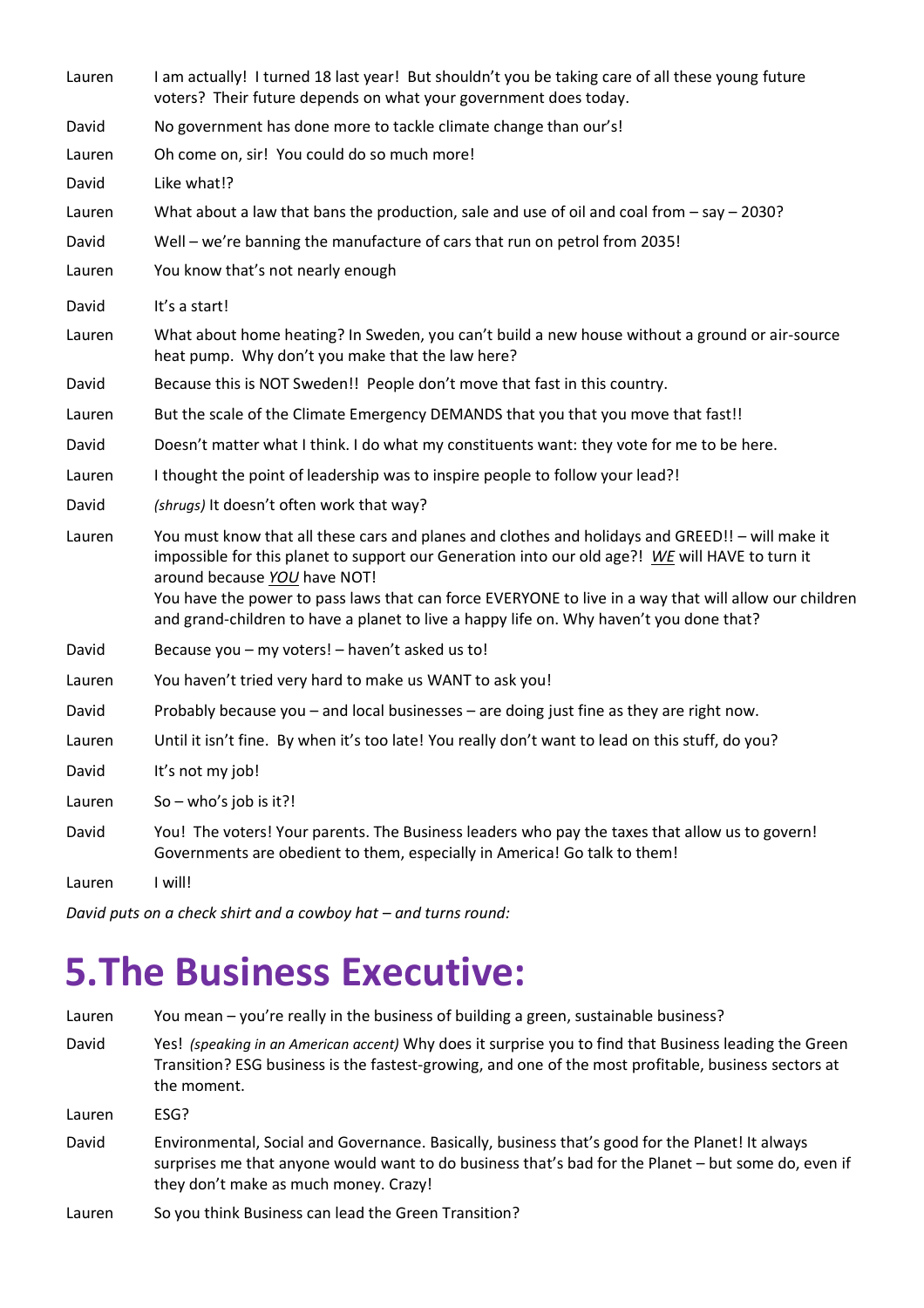Lauren I am actually! I turned 18 last year! But shouldn't you be taking care of all these young future voters? Their future depends on what your government does today.

David No government has done more to tackle climate change than our's!

Lauren Oh come on, sir! You could do so much more!

David Like what!?

Lauren What about a law that bans the production, sale and use of oil and coal from – say – 2030?

- David Well we're banning the manufacture of cars that run on petrol from 2035!
- Lauren You know that's not nearly enough
- David It's a start!
- Lauren What about home heating? In Sweden, you can't build a new house without a ground or air-source heat pump. Why don't you make that the law here?
- David Because this is NOT Sweden!! People don't move that fast in this country.
- Lauren But the scale of the Climate Emergency DEMANDS that you that you move that fast!!
- David Doesn't matter what I think. I do what my constituents want: they vote for me to be here.
- Lauren I thought the point of leadership was to inspire people to follow your lead?!
- David *(shrugs)* It doesn't often work that way?
- Lauren You must know that all these cars and planes and clothes and holidays and GREED!! will make it impossible for this planet to support our Generation into our old age?! *WE* will HAVE to turn it around because *YOU* have NOT! You have the power to pass laws that can force EVERYONE to live in a way that will allow our children and grand-children to have a planet to live a happy life on. Why haven't you done that?
- David Because you my voters! haven't asked us to!
- Lauren You haven't tried very hard to make us WANT to ask you!
- David Probably because you and local businesses are doing just fine as they are right now.
- Lauren Until it isn't fine. By when it's too late! You really don't want to lead on this stuff, do you?
- David It's not my job!
- Lauren  $So who's job is it?!$
- David You! The voters! Your parents. The Business leaders who pay the taxes that allow us to govern! Governments are obedient to them, especially in America! Go talk to them!

Lauren I will!

*David puts on a check shirt and a cowboy hat – and turns round:* 

### **5.The Business Executive:**

Lauren You mean – you're really in the business of building a green, sustainable business? David Yes! *(speaking in an American accent)* Why does it surprise you to find that Business leading the Green Transition? ESG business is the fastest-growing, and one of the most profitable, business sectors at the moment. Lauren ESG? David Environmental, Social and Governance. Basically, business that's good for the Planet! It always surprises me that anyone would want to do business that's bad for the Planet – but some do, even if they don't make as much money. Crazy!

Lauren So you think Business can lead the Green Transition?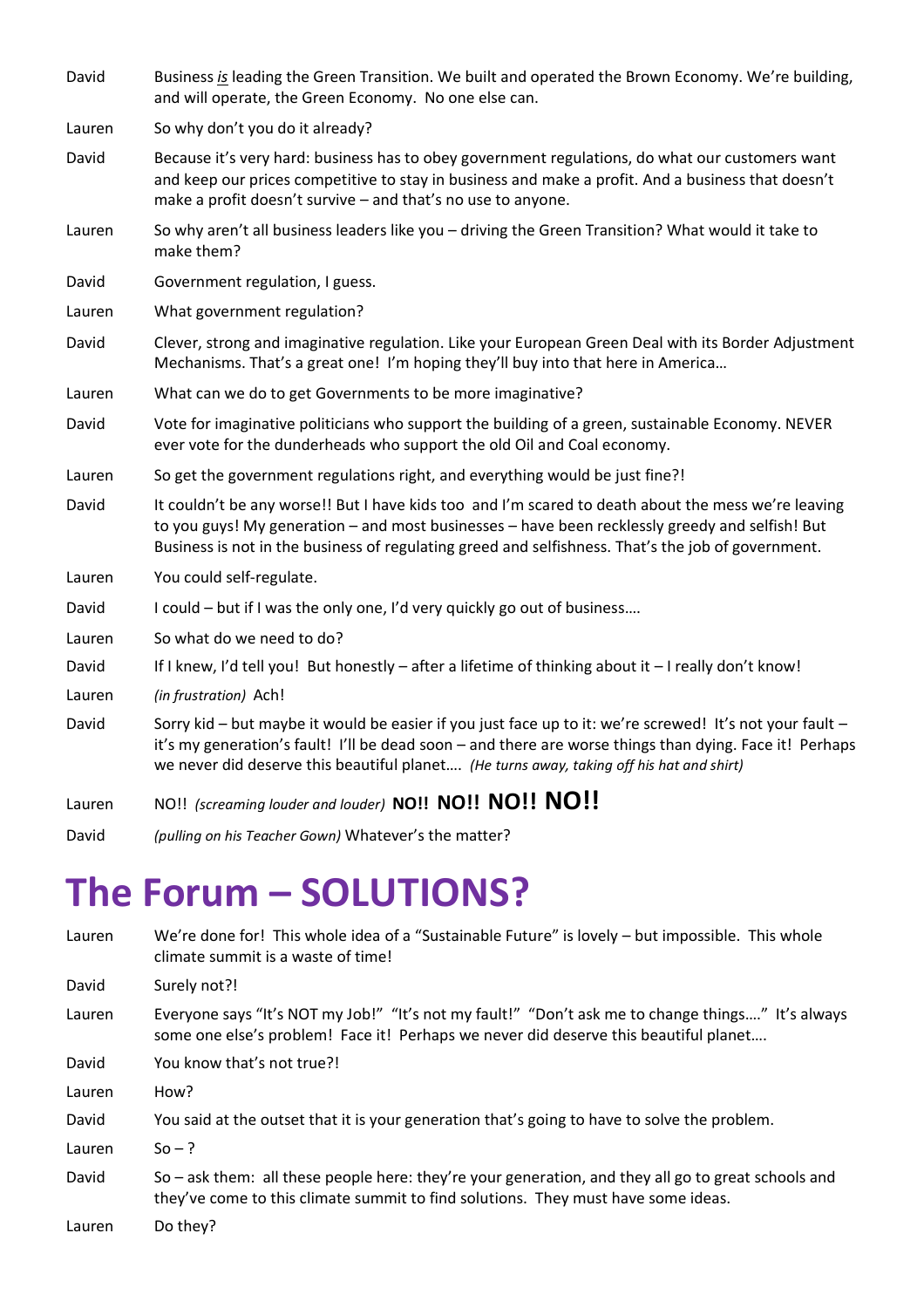David Business *is* leading the Green Transition. We built and operated the Brown Economy. We're building, and will operate, the Green Economy. No one else can.

Lauren So why don't you do it already?

- David Because it's very hard: business has to obey government regulations, do what our customers want and keep our prices competitive to stay in business and make a profit. And a business that doesn't make a profit doesn't survive – and that's no use to anyone.
- Lauren So why aren't all business leaders like you driving the Green Transition? What would it take to make them?
- David Government regulation, I guess.
- Lauren What government regulation?
- David Clever, strong and imaginative regulation. Like your European Green Deal with its Border Adjustment Mechanisms. That's a great one! I'm hoping they'll buy into that here in America…
- Lauren What can we do to get Governments to be more imaginative?
- David Vote for imaginative politicians who support the building of a green, sustainable Economy. NEVER ever vote for the dunderheads who support the old Oil and Coal economy.
- Lauren So get the government regulations right, and everything would be just fine?!
- David It couldn't be any worse!! But I have kids too and I'm scared to death about the mess we're leaving to you guys! My generation – and most businesses – have been recklessly greedy and selfish! But Business is not in the business of regulating greed and selfishness. That's the job of government.
- Lauren You could self-regulate.
- David I could but if I was the only one, I'd very quickly go out of business....
- Lauren So what do we need to do?
- David If I knew, I'd tell you! But honestly after a lifetime of thinking about it I really don't know!
- Lauren *(in frustration)* Ach!
- David Sorry kid but maybe it would be easier if you just face up to it: we're screwed! It's not your fault it's my generation's fault! I'll be dead soon – and there are worse things than dying. Face it! Perhaps we never did deserve this beautiful planet…. *(He turns away, taking off his hat and shirt)*
- Lauren NO!! *(screaming louder and louder)* **NO!! NO!! NO!! NO!!**
- David *(pulling on his Teacher Gown)* Whatever's the matter?

### **The Forum – SOLUTIONS?**

Lauren We're done for! This whole idea of a "Sustainable Future" is lovely - but impossible. This whole climate summit is a waste of time! David Surely not?! Lauren Everyone says "It's NOT my Job!" "It's not my fault!" "Don't ask me to change things…." It's always some one else's problem! Face it! Perhaps we never did deserve this beautiful planet.... David You know that's not true?! Lauren How? David You said at the outset that it is your generation that's going to have to solve the problem. Lauren  $So - ?$ David So – ask them: all these people here: they're your generation, and they all go to great schools and they've come to this climate summit to find solutions. They must have some ideas. Lauren Do they?